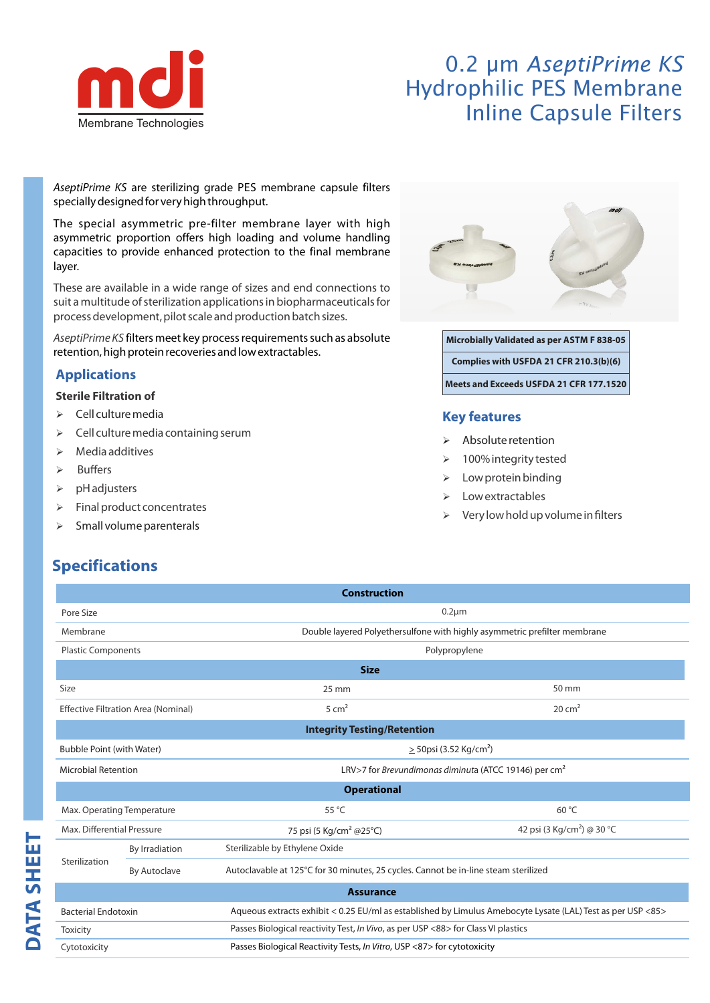

# 0.2 µm *AseptiPrime KS* Hydrophilic PES Membrane Inline Capsule Filters

AseptiPrime KS are sterilizing grade PES membrane capsule filters specially designed for very high throughput.

The special asymmetric pre-filter membrane layer with high asymmetric proportion offers high loading and volume handling capacities to provide enhanced protection to the final membrane layer.

These are available in a wide range of sizes and end connections to suit a multitude of sterilization applications in biopharmaceuticals for process development, pilot scale and production batch sizes.

AseptiPrime KS filters meet key process requirements such as absolute retention, high protein recoveries and low extractables.

## **Applications**

#### **Sterile Filtration of**

- $\triangleright$  Cell culture media
- $\geqslant$  Cell culture media containing serum
- $\triangleright$  Media additives
- $\triangleright$  Buffers
- $\triangleright$  pH adjusters
- $\triangleright$  Final product concentrates
- $\triangleright$  Small volume parenterals



**Microbially Validated as per ASTM F 838-05 Complies with USFDA 21 CFR 210.3(b)(6) Meets and Exceeds USFDA 21 CFR 177.1520**

### **Key features**

- Absolute retention
- > 100% integrity tested
- $\triangleright$  Low protein binding
- Low extractables
- Very low hold up volume in filters

# **Specifications**

|                                  |                                            | <b>Construction</b>                                                                                         |                                                                           |  |  |  |  |  |
|----------------------------------|--------------------------------------------|-------------------------------------------------------------------------------------------------------------|---------------------------------------------------------------------------|--|--|--|--|--|
| Pore Size                        |                                            | $0.2 \mu m$                                                                                                 |                                                                           |  |  |  |  |  |
| Membrane                         |                                            |                                                                                                             | Double layered Polyethersulfone with highly asymmetric prefilter membrane |  |  |  |  |  |
| <b>Plastic Components</b>        |                                            |                                                                                                             | Polypropylene                                                             |  |  |  |  |  |
|                                  |                                            | <b>Size</b>                                                                                                 |                                                                           |  |  |  |  |  |
| Size                             |                                            | $25 \text{ mm}$                                                                                             | 50 mm                                                                     |  |  |  |  |  |
|                                  | <b>Effective Filtration Area (Nominal)</b> | $5 \text{ cm}^2$                                                                                            | $20 \text{ cm}^2$                                                         |  |  |  |  |  |
|                                  |                                            | <b>Integrity Testing/Retention</b>                                                                          |                                                                           |  |  |  |  |  |
| <b>Bubble Point (with Water)</b> |                                            | $>$ 50psi (3.52 Kg/cm <sup>2</sup> )                                                                        |                                                                           |  |  |  |  |  |
| <b>Microbial Retention</b>       |                                            | LRV>7 for <i>Brevundimonas diminuta</i> (ATCC 19146) per $cm2$                                              |                                                                           |  |  |  |  |  |
|                                  |                                            | <b>Operational</b>                                                                                          |                                                                           |  |  |  |  |  |
|                                  | Max. Operating Temperature                 | 55 °C                                                                                                       | 60 °C                                                                     |  |  |  |  |  |
| Max. Differential Pressure       |                                            | 75 psi (5 Kg/cm <sup>2</sup> @25°C)                                                                         | 42 psi (3 Kg/cm <sup>2</sup> ) @ 30 °C                                    |  |  |  |  |  |
|                                  | By Irradiation                             | Sterilizable by Ethylene Oxide                                                                              |                                                                           |  |  |  |  |  |
| Sterilization                    | <b>By Autoclave</b>                        | Autoclavable at 125°C for 30 minutes, 25 cycles. Cannot be in-line steam sterilized                         |                                                                           |  |  |  |  |  |
|                                  |                                            | <b>Assurance</b>                                                                                            |                                                                           |  |  |  |  |  |
| <b>Bacterial Endotoxin</b>       |                                            | Aqueous extracts exhibit < 0.25 EU/ml as established by Limulus Amebocyte Lysate (LAL) Test as per USP <85> |                                                                           |  |  |  |  |  |
| <b>Toxicity</b>                  |                                            | Passes Biological reactivity Test, In Vivo, as per USP <88> for Class VI plastics                           |                                                                           |  |  |  |  |  |
| Cytotoxicity                     |                                            | Passes Biological Reactivity Tests, In Vitro, USP <87> for cytotoxicity                                     |                                                                           |  |  |  |  |  |